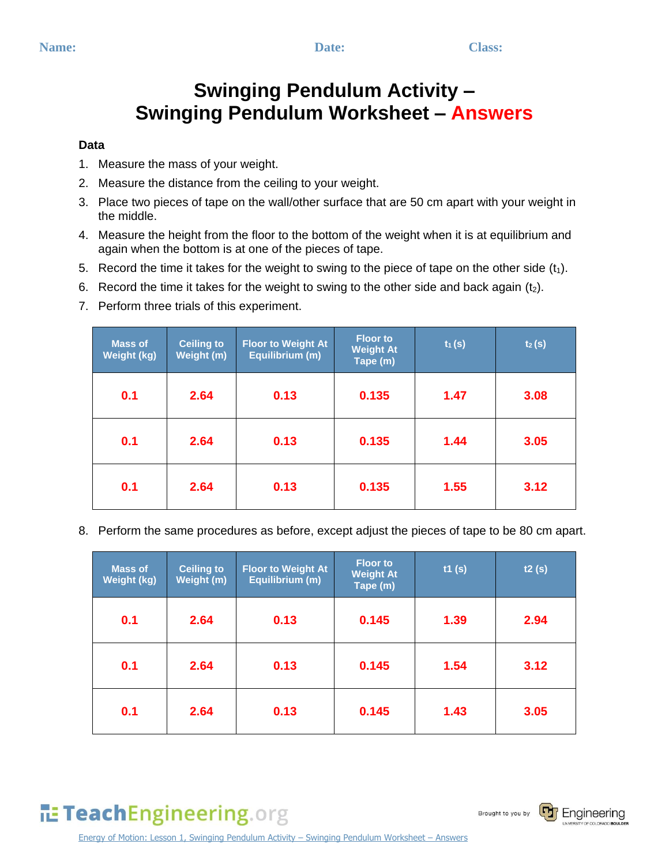## **Swinging Pendulum Activity – Swinging Pendulum Worksheet – Answers**

#### **Data**

- 1. Measure the mass of your weight.
- 2. Measure the distance from the ceiling to your weight.
- 3. Place two pieces of tape on the wall/other surface that are 50 cm apart with your weight in the middle.
- 4. Measure the height from the floor to the bottom of the weight when it is at equilibrium and again when the bottom is at one of the pieces of tape.
- 5. Record the time it takes for the weight to swing to the piece of tape on the other side  $(t_1)$ .
- 6. Record the time it takes for the weight to swing to the other side and back again  $(t_2)$ .
- 7. Perform three trials of this experiment.

| <b>Mass of</b><br><b>Weight (kg)</b> | Ceiling to<br>Weight (m) | <b>Floor to Weight At</b><br>Equilibrium (m) | <b>Floor to</b><br><b>Weight At</b><br>Tape (m) | $t_1(s)$ | $t_2(s)$ |
|--------------------------------------|--------------------------|----------------------------------------------|-------------------------------------------------|----------|----------|
| 0.1                                  | 2.64                     | 0.13                                         | 0.135                                           | 1.47     | 3.08     |
| 0.1                                  | 2.64                     | 0.13                                         | 0.135                                           | 1.44     | 3.05     |
| 0.1                                  | 2.64                     | 0.13                                         | 0.135                                           | 1.55     | 3.12     |

8. Perform the same procedures as before, except adjust the pieces of tape to be 80 cm apart.

| <b>Mass of</b><br><b>Weight (kg)</b> | <b>Ceiling to</b><br>Weight (m) | <b>Floor to Weight At</b><br>Equilibrium (m) | <b>Floor to</b><br><b>Weight At</b><br>Tape (m) | t1(s) | t2(s) |
|--------------------------------------|---------------------------------|----------------------------------------------|-------------------------------------------------|-------|-------|
| 0.1                                  | 2.64                            | 0.13                                         | 0.145                                           | 1.39  | 2.94  |
| 0.1                                  | 2.64                            | 0.13                                         | 0.145                                           | 1.54  | 3.12  |
| 0.1                                  | 2.64                            | 0.13                                         | 0.145                                           | 1.43  | 3.05  |

# TeachEngineering.org

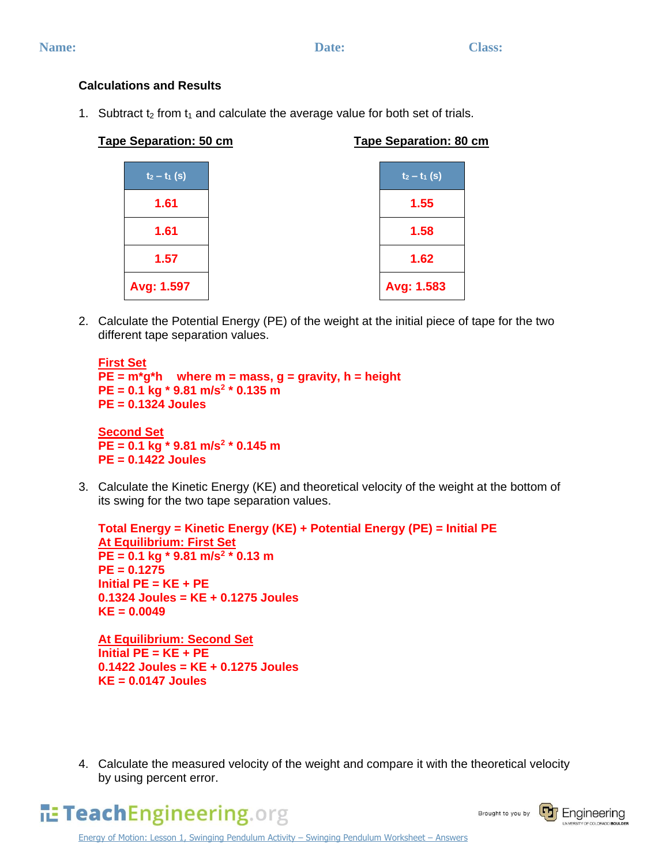### **Calculations and Results**

1. Subtract  $t_2$  from  $t_1$  and calculate the average value for both set of trials.

| <b>Tape Separation: 80 cm</b> |
|-------------------------------|
| $t_2 - t_1$ (s)               |
| 1.55                          |
| 1.58                          |
| 1.62                          |
| Avg: 1.583                    |
|                               |

2. Calculate the Potential Energy (PE) of the weight at the initial piece of tape for the two different tape separation values.

```
First Set
PE = m*g*h where m = mass, g = gravity, h = height
PE = 0.1 kg * 9.81 m/s2
* 0.135 m
PE = 0.1324 Joules
Second Set
PE = 0.1 kg * 9.81 m/s2
* 0.145 m
PE = 0.1422 Joules
```
3. Calculate the Kinetic Energy (KE) and theoretical velocity of the weight at the bottom of its swing for the two tape separation values.

```
Total Energy = Kinetic Energy (KE) + Potential Energy (PE) = Initial PE
At Equilibrium: First Set
PE = 0.1 kg * 9.81 m/s2
* 0.13 m
PE = 0.1275
Initial PE = KE + PE
0.1324 Joules = KE + 0.1275 Joules
KE = 0.0049
```
**At Equilibrium: Second Set Initial PE = KE + PE 0.1422 Joules = KE + 0.1275 Joules KE = 0.0147 Joules**

4. Calculate the measured velocity of the weight and compare it with the theoretical velocity by using percent error.



Brought to you by

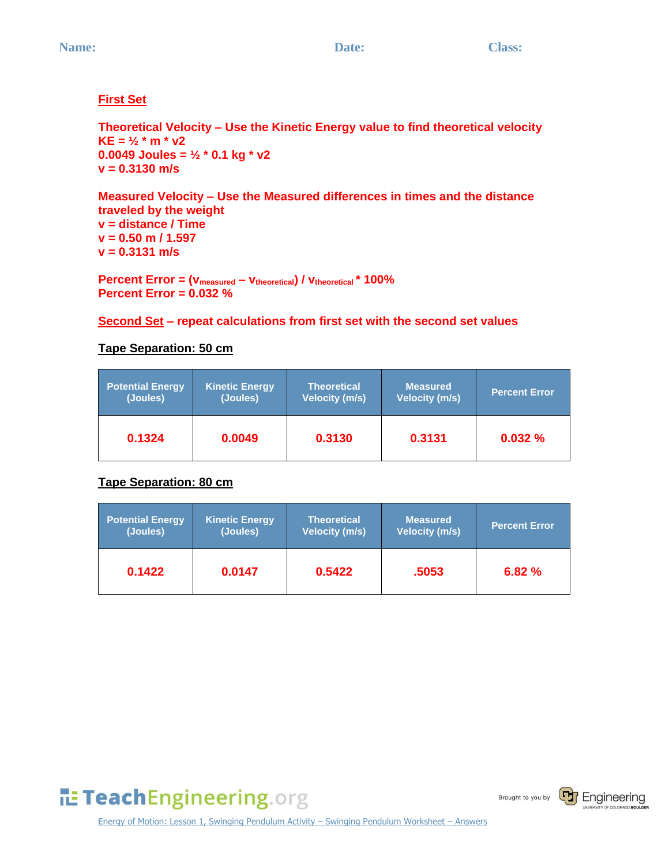### **First Set**

**Theoretical Velocity – Use the Kinetic Energy value to find theoretical velocity KE = ½ \* m \* v2 0.0049 Joules = ½ \* 0.1 kg \* v2 v = 0.3130 m/s**

#### **Measured Velocity – Use the Measured differences in times and the distance traveled by the weight**

**v = distance / Time v = 0.50 m / 1.597 v = 0.3131 m/s**

**Percent Error = (vmeasured – vtheoretical) / vtheoretical \* 100% Percent Error = 0.032 %**

#### **Second Set – repeat calculations from first set with the second set values**

#### **Tape Separation: 50 cm**

| <b>Potential Energy</b> | <b>Kinetic Energy</b> | <b>Theoretical</b>    | <b>Measured</b>       | <b>Percent Error</b> |
|-------------------------|-----------------------|-----------------------|-----------------------|----------------------|
| (Joules)                | (Joules)              | <b>Velocity (m/s)</b> | <b>Velocity (m/s)</b> |                      |
| 0.1324                  | 0.0049                | 0.3130                | 0.3131                | 0.032%               |

### **Tape Separation: 80 cm**

| <b>Potential Energy</b> | <b>Kinetic Energy</b> | <b>Theoretical</b>    | <b>Measured</b>       | <b>Percent Error</b> |
|-------------------------|-----------------------|-----------------------|-----------------------|----------------------|
| (Joules)                | (Joules)              | <b>Velocity (m/s)</b> | <b>Velocity (m/s)</b> |                      |
| 0.1422                  | 0.0147                | 0.5422                | .5053                 | 6.82%                |

TeachEngineering.org

Brought to you by



Energy of Motion: Lesson 1, Swinging Pendulum Activity – Swinging Pendulum Worksheet – Answers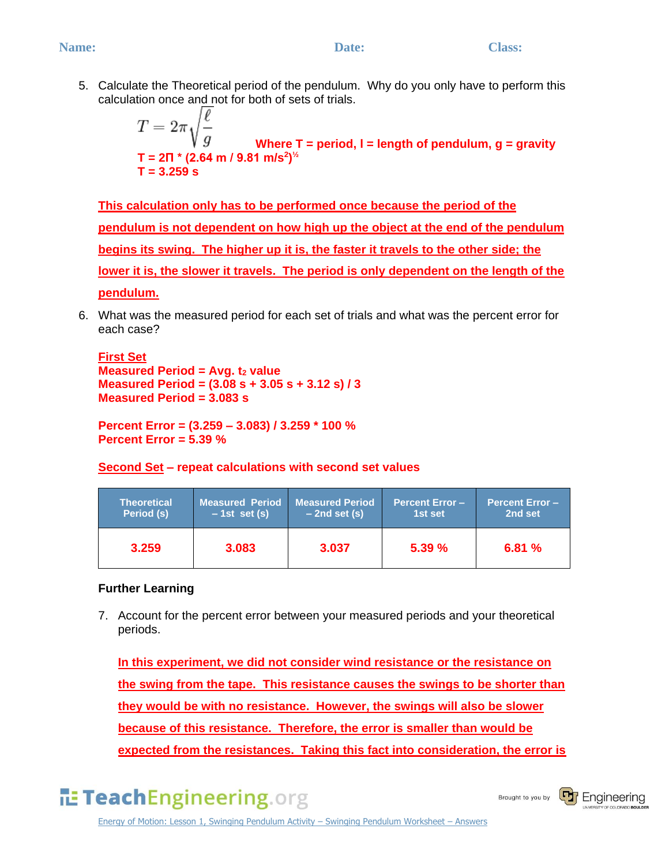#### **Name:** Class: Class: Class: Class: Class: Class: Class: Class: Class: Class: Class: Class: Class: Class: Class: Class: Class: Class: Class: Class: Class: Class: Class: Class: Class: Class: Class: Class: Class: Class: Clas

5. Calculate the Theoretical period of the pendulum. Why do you only have to perform this calculation once and not for both of sets of trials.

$$
T = 2\pi \sqrt{\frac{\ell}{g}}
$$
  
Where T = period, I = length of pendulum, g = gravity  
T = 2\Pi \* (2.64 m / 9.81 m/s<sup>2</sup>)<sup>1/2</sup>  
T = 3.259 s

**This calculation only has to be performed once because the period of the pendulum is not dependent on how high up the object at the end of the pendulum begins its swing. The higher up it is, the faster it travels to the other side; the lower it is, the slower it travels. The period is only dependent on the length of the pendulum.** 

6. What was the measured period for each set of trials and what was the percent error for each case?

**First Set Measured Period = Avg.**  $t_2$  **value Measured Period = (3.08 s + 3.05 s + 3.12 s) / 3 Measured Period = 3.083 s**

**Percent Error = (3.259 – 3.083) / 3.259 \* 100 % Percent Error = 5.39 %**

#### **Second Set – repeat calculations with second set values**

| <b>Theoretical</b> | <b>Measured Period</b> | <b>Measured Period</b> | <b>Percent Error-</b> | <b>Percent Error-</b> |
|--------------------|------------------------|------------------------|-----------------------|-----------------------|
| Period (s)         | $-1st$ set (s)         | $-2nd$ set (s)         | 1st set               | 2nd set               |
| 3.259              | 3.083                  | 3.037                  | 5.39%                 | 6.81%                 |

#### **Further Learning**

7. Account for the percent error between your measured periods and your theoretical periods.

**In this experiment, we did not consider wind resistance or the resistance on the swing from the tape. This resistance causes the swings to be shorter than they would be with no resistance. However, the swings will also be slower because of this resistance. Therefore, the error is smaller than would be expected from the resistances. Taking this fact into consideration, the error is** 

TeachEngineering.org

Brought to you by



Energy of Motion: Lesson 1, Swinging Pendulum Activity – Swinging Pendulum Worksheet – Answers